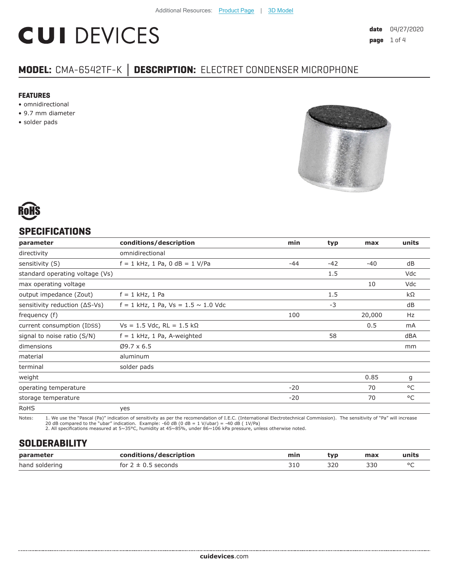# **CUI DEVICES**

# **MODEL:** CMA-6542TF-K **│ DESCRIPTION:** ELECTRET CONDENSER MICROPHONE

#### **FEATURES**

- omnidirectional
- 9.7 mm diameter
- solder pads





#### **SPECIFICATIONS**

| parameter                               | conditions/description                     | min   | typ   | max    | units |
|-----------------------------------------|--------------------------------------------|-------|-------|--------|-------|
| directivity                             | omnidirectional                            |       |       |        |       |
| sensitivity (S)                         | $f = 1$ kHz, 1 Pa, 0 dB = 1 V/Pa           | $-44$ | $-42$ | $-40$  | dB    |
| standard operating voltage (Vs)         |                                            |       | 1.5   |        | Vdc   |
| max operating voltage                   |                                            |       |       | 10     | Vdc   |
| output impedance (Zout)                 | $f = 1$ kHz, 1 Pa                          |       | 1.5   |        | kΩ    |
| sensitivity reduction $( \Delta S$ -Vs) | $f = 1$ kHz, 1 Pa, Vs = 1.5 $\sim$ 1.0 Vdc |       | $-3$  |        | dB    |
| frequency (f)                           |                                            | 100   |       | 20,000 | Hz    |
| current consumption (IDSS)              | $Vs = 1.5$ Vdc, RL = 1.5 kΩ                |       |       | 0.5    | mA    |
| signal to noise ratio (S/N)             | $f = 1$ kHz, 1 Pa, A-weighted              |       | 58    |        | dBA   |
| dimensions                              | $Ø9.7 \times 6.5$                          |       |       |        | mm    |
| material                                | aluminum                                   |       |       |        |       |
| terminal                                | solder pads                                |       |       |        |       |
| weight                                  |                                            |       |       | 0.85   | g     |
| operating temperature                   |                                            | $-20$ |       | 70     | °C    |
| storage temperature                     |                                            | $-20$ |       | 70     | °C    |
| <b>RoHS</b>                             | yes                                        |       |       |        |       |

Notes: 1. We use the "Pascal (Pa)" indication of sensitivity as per the recomendation of I.E.C. (International Electrotechnical Commission). The sensitivity of "Pa" will increase

20 dB compared to the "ubar" indication. Example: -60 dB (0 dB = 1 V/ubar) = -40 dB ( 1V/Pa) 2. All specifications measured at 5~35°C, humidity at 45~85%, under 86~106 kPa pressure, unless otherwise noted.

## **SOLDERABILITY**

| parameter      | conditions/description | min          | tvp | max | units  |
|----------------|------------------------|--------------|-----|-----|--------|
| hand soldering | seconds<br>for $2 \pm$ | ว + ค<br>コエロ | 320 | 330 | $\sim$ |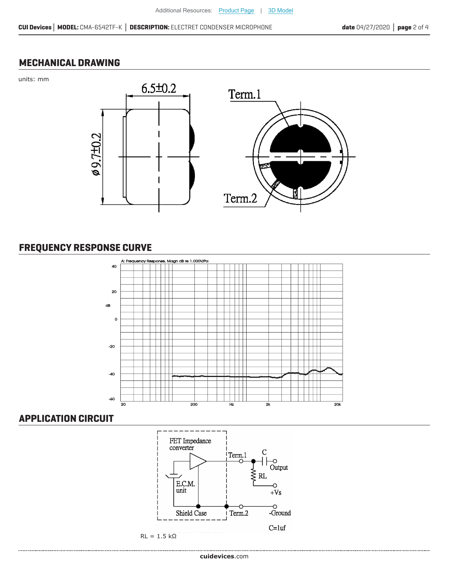## **MECHANICAL DRAWING**

units: mm



# **FREQUENCY RESPONSE CURVE**



#### **APPLICATION CIRCUIT**

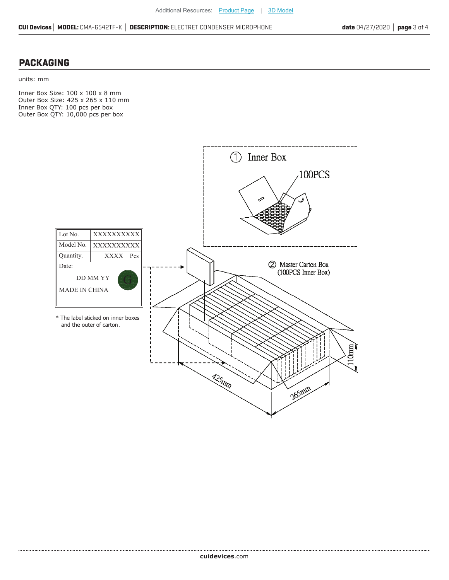#### **PACKAGING**

....................................

units: mm

Inner Box Size: 100 x 100 x 8 mm Outer Box Size: 425 x 265 x 110 mm Inner Box QTY: 100 pcs per box Outer Box QTY: 10,000 pcs per box